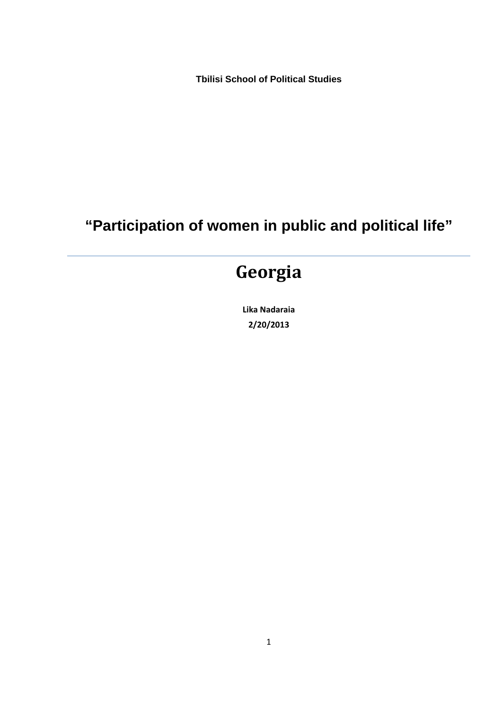**Tbilisi School of Political Studies**

# **"Participation of women in public and political life"**

# **Georgia**

**Lika Nadaraia 2/20/2013**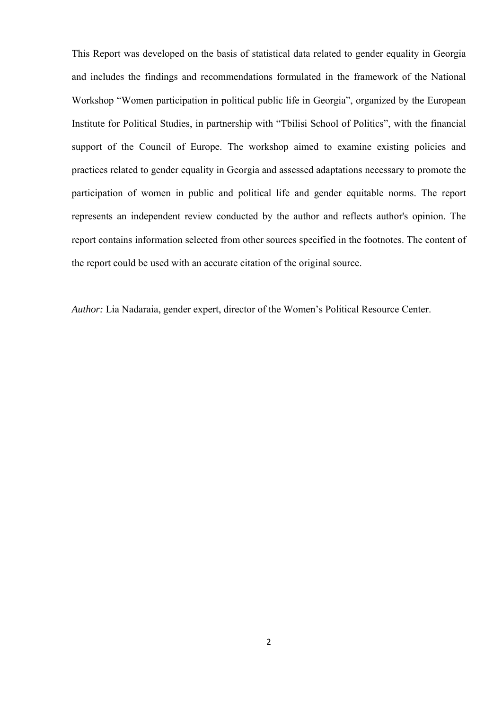This Report was developed on the basis of statistical data related to gender equality in Georgia and includes the findings and recommendations formulated in the framework of the National Workshop "Women participation in political public life in Georgia", organized by the European Institute for Political Studies, in partnership with "Tbilisi School of Politics", with the financial support of the Council of Europe. The workshop aimed to examine existing policies and practices related to gender equality in Georgia and assessed adaptations necessary to promote the participation of women in public and political life and gender equitable norms. The report represents an independent review conducted by the author and reflects author's opinion. The report contains information selected from other sources specified in the footnotes. The content of the report could be used with an accurate citation of the original source.

*Author: Lia Nadaraia, gender expert, director of the Women's Political Resource Center.*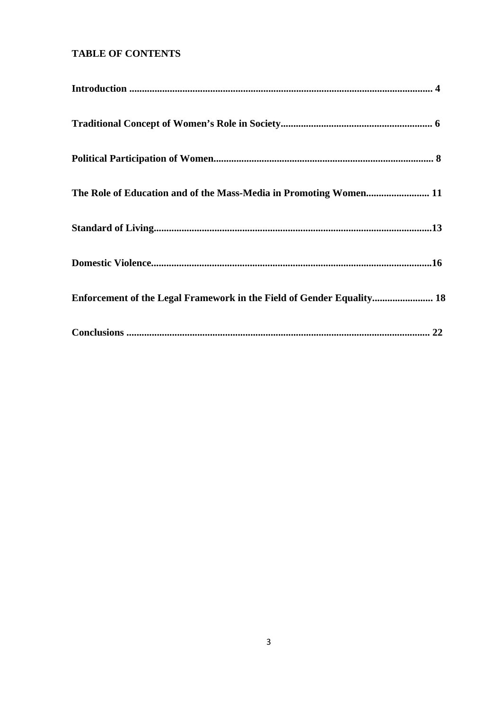# **TABLE OF CONTENTS**

| Enforcement of the Legal Framework in the Field of Gender Equality 18 |
|-----------------------------------------------------------------------|
|                                                                       |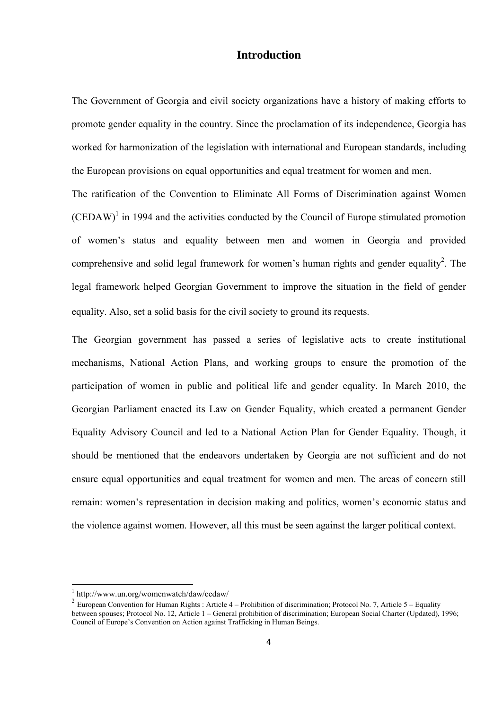#### **Introduction**

The Government of Georgia and civil society organizations have a history of making efforts to promote gender equality in the country. Since the proclamation of its independence, Georgia has worked for harmonization of the legislation with international and European standards, including the European provisions on equal opportunities and equal treatment for women and men.

The ratification of the Convention to Eliminate All Forms of Discrimination against Women  $(CEDAW)$ <sup>1</sup> in 1994 and the activities conducted by the Council of Europe stimulated promotion of women's status and equality between men and women in Georgia and provided comprehensive and solid legal framework for women's human rights and gender equality<sup>2</sup>. The legal framework helped Georgian Government to improve the situation in the field of gender equality. Also, set a solid basis for the civil society to ground its requests.

The Georgian government has passed a series of legislative acts to create institutional mechanisms, National Action Plans, and working groups to ensure the promotion of the participation of women in public and political life and gender equality. In March 2010, the Georgian Parliament enacted its Law on Gender Equality, which created a permanent Gender Equality Advisory Council and led to a National Action Plan for Gender Equality. Though, it should be mentioned that the endeavors undertaken by Georgia are not sufficient and do not ensure equal opportunities and equal treatment for women and men. The areas of concern still remain: women's representation in decision making and politics, women's economic status and the violence against women. However, all this must be seen against the larger political context.

<sup>1</sup> http://www.un.org/womenwatch/daw/cedaw/

<sup>&</sup>lt;sup>2</sup> European Convention for Human Rights : Article 4 – Prohibition of discrimination; Protocol No. 7, Article 5 – Equality between spouses; Protocol No. 12, Article 1 – General prohibition of discrimination; European Social Charter (Updated), 1996; Council of Europe's Convention on Action against Trafficking in Human Beings.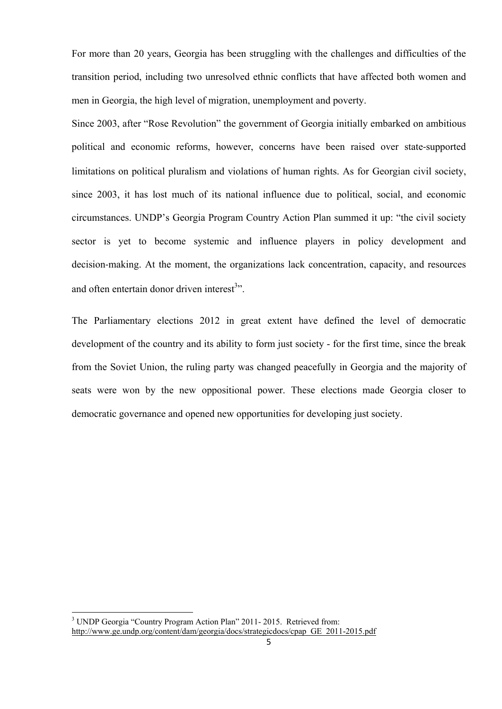For more than 20 years, Georgia has been struggling with the challenges and difficulties of the transition period, including two unresolved ethnic conflicts that have affected both women and men in Georgia, the high level of migration, unemployment and poverty.

Since 2003, after "Rose Revolution" the government of Georgia initially embarked on ambitious political and economic reforms, however, concerns have been raised over state‐supported limitations on political pluralism and violations of human rights. As for Georgian civil society, since 2003, it has lost much of its national influence due to political, social, and economic circumstances. UNDP's Georgia Program Country Action Plan summed it up: "the civil society sector is yet to become systemic and influence players in policy development and decision‐making. At the moment, the organizations lack concentration, capacity, and resources and often entertain donor driven interest<sup>3</sup>".

The Parliamentary elections 2012 in great extent have defined the level of democratic development of the country and its ability to form just society - for the first time, since the break from the Soviet Union, the ruling party was changed peacefully in Georgia and the majority of seats were won by the new oppositional power. These elections made Georgia closer to democratic governance and opened new opportunities for developing just society.

<sup>&</sup>lt;sup>3</sup> UNDP Georgia "Country Program Action Plan" 2011- 2015. Retrieved from: http://www.ge.undp.org/content/dam/georgia/docs/strategicdocs/cpap\_GE\_2011-2015.pdf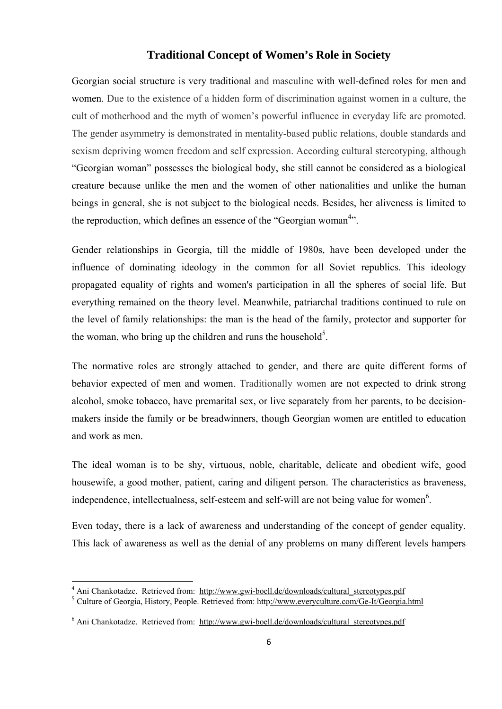## **Traditional Concept of Women's Role in Society**

Georgian social structure is very traditional and masculine with well-defined roles for men and women. Due to the existence of a hidden form of discrimination against women in a culture, the cult of motherhood and the myth of women's powerful influence in everyday life are promoted. The gender asymmetry is demonstrated in mentality-based public relations, double standards and sexism depriving women freedom and self expression. According cultural stereotyping, although "Georgian woman" possesses the biological body, she still cannot be considered as a biological creature because unlike the men and the women of other nationalities and unlike the human beings in general, she is not subject to the biological needs. Besides, her aliveness is limited to the reproduction, which defines an essence of the "Georgian woman<sup>4</sup>".

Gender relationships in Georgia, till the middle of 1980s, have been developed under the influence of dominating ideology in the common for all Soviet republics. This ideology propagated equality of rights and women's participation in all the spheres of social life. But everything remained on the theory level. Meanwhile, patriarchal traditions continued to rule on the level of family relationships: the man is the head of the family, protector and supporter for the woman, who bring up the children and runs the household<sup>5</sup>.

The normative roles are strongly attached to gender, and there are quite different forms of behavior expected of men and women. Traditionally women are not expected to drink strong alcohol, smoke tobacco, have premarital sex, or live separately from her parents, to be decisionmakers inside the family or be breadwinners, though Georgian women are entitled to education and work as men.

The ideal woman is to be shy, virtuous, noble, charitable, delicate and obedient wife, good housewife, a good mother, patient, caring and diligent person. The characteristics as braveness, independence, intellectualness, self-esteem and self-will are not being value for women<sup>6</sup>.

Even today, there is a lack of awareness and understanding of the concept of gender equality. This lack of awareness as well as the denial of any problems on many different levels hampers

weret<br><sup>4</sup> Ani Chankotadze. Retrieved from: http://www.gwi-boell.de/downloads/cultural\_stereotypes.pdf

<sup>5</sup> Culture of Georgia, History, People. Retrieved from: http://www.everyculture.com/Ge-It/Georgia.html

<sup>&</sup>lt;sup>6</sup> Ani Chankotadze. Retrieved from: http://www.gwi-boell.de/downloads/cultural\_stereotypes.pdf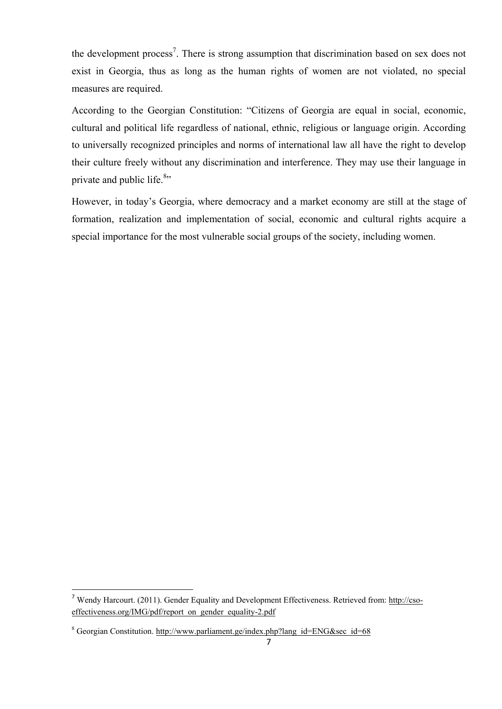the development process<sup>7</sup>. There is strong assumption that discrimination based on sex does not exist in Georgia, thus as long as the human rights of women are not violated, no special measures are required.

According to the Georgian Constitution: "Citizens of Georgia are equal in social, economic, cultural and political life regardless of national, ethnic, religious or language origin. According to universally recognized principles and norms of international law all have the right to develop their culture freely without any discrimination and interference. They may use their language in private and public life.<sup>8</sup>"

However, in today's Georgia, where democracy and a market economy are still at the stage of formation, realization and implementation of social, economic and cultural rights acquire a special importance for the most vulnerable social groups of the society, including women.

<sup>7</sup> Wendy Harcourt. (2011). Gender Equality and Development Effectiveness. Retrieved from: http://csoeffectiveness.org/IMG/pdf/report\_on\_gender\_equality-2.pdf

<sup>&</sup>lt;sup>8</sup> Georgian Constitution. http://www.parliament.ge/index.php?lang\_id=ENG&sec\_id=68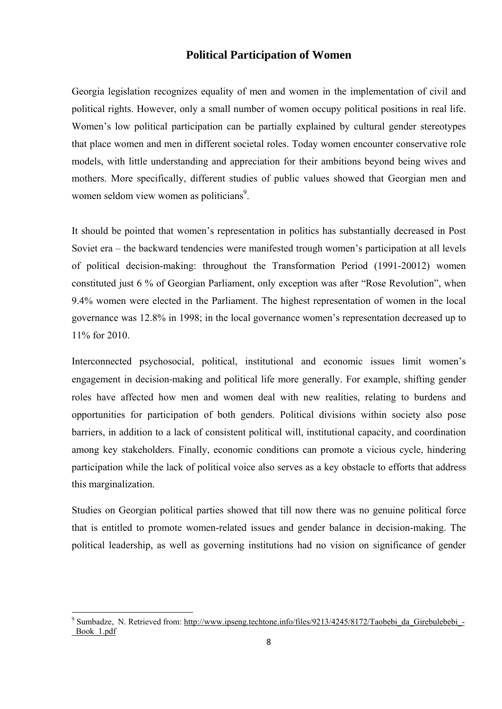## **Political Participation of Women**

Georgia legislation recognizes equality of men and women in the implementation of civil and political rights. However, only a small number of women occupy political positions in real life. Women's low political participation can be partially explained by cultural gender stereotypes that place women and men in different societal roles. Today women encounter conservative role models, with little understanding and appreciation for their ambitions beyond being wives and mothers. More specifically, different studies of public values showed that Georgian men and women seldom view women as politicians<sup>9</sup>.

It should be pointed that women's representation in politics has substantially decreased in Post Soviet era – the backward tendencies were manifested trough women's participation at all levels of political decision-making: throughout the Transformation Period (1991-20012) women constituted just 6 % of Georgian Parliament, only exception was after "Rose Revolution", when 9.4% women were elected in the Parliament. The highest representation of women in the local governance was 12.8% in 1998; in the local governance women's representation decreased up to 11% for 2010.

Interconnected psychosocial, political, institutional and economic issues limit women's engagement in decision-making and political life more generally. For example, shifting gender roles have affected how men and women deal with new realities, relating to burdens and opportunities for participation of both genders. Political divisions within society also pose barriers, in addition to a lack of consistent political will, institutional capacity, and coordination among key stakeholders. Finally, economic conditions can promote a vicious cycle, hindering participation while the lack of political voice also serves as a key obstacle to efforts that address this marginalization.

Studies on Georgian political parties showed that till now there was no genuine political force that is entitled to promote women-related issues and gender balance in decision-making. The political leadership, as well as governing institutions had no vision on significance of gender

<sup>&</sup>lt;sup>9</sup> Sumbadze, N. Retrieved from: http://www.ipseng.techtone.info/files/9213/4245/8172/Taobebi\_da\_Girebulebebi\_-\_Book\_1.pdf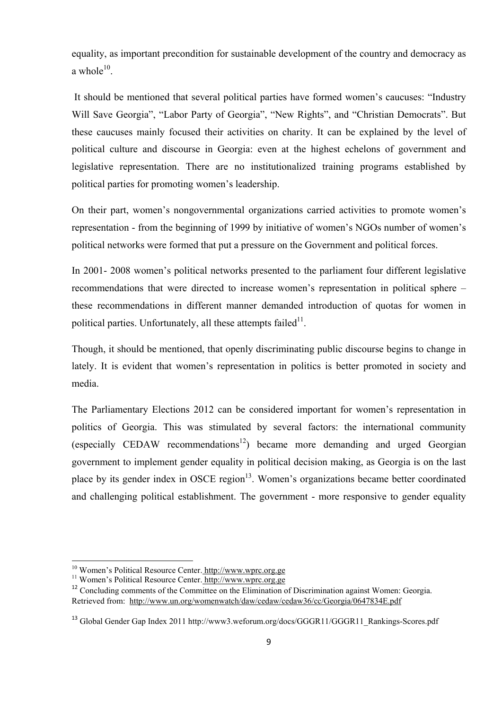equality, as important precondition for sustainable development of the country and democracy as a whole $10^{-10}$ 

 It should be mentioned that several political parties have formed women's caucuses: "Industry Will Save Georgia", "Labor Party of Georgia", "New Rights", and "Christian Democrats". But these caucuses mainly focused their activities on charity. It can be explained by the level of political culture and discourse in Georgia: even at the highest echelons of government and legislative representation. There are no institutionalized training programs established by political parties for promoting women's leadership.

On their part, women's nongovernmental organizations carried activities to promote women's representation - from the beginning of 1999 by initiative of women's NGOs number of women's political networks were formed that put a pressure on the Government and political forces.

In 2001- 2008 women's political networks presented to the parliament four different legislative recommendations that were directed to increase women's representation in political sphere – these recommendations in different manner demanded introduction of quotas for women in political parties. Unfortunately, all these attempts failed<sup>11</sup>.

Though, it should be mentioned, that openly discriminating public discourse begins to change in lately. It is evident that women's representation in politics is better promoted in society and media.

The Parliamentary Elections 2012 can be considered important for women's representation in politics of Georgia. This was stimulated by several factors: the international community (especially CEDAW recommendations<sup>12</sup>) became more demanding and urged Georgian government to implement gender equality in political decision making, as Georgia is on the last place by its gender index in OSCE region $13$ . Women's organizations became better coordinated and challenging political establishment. The government - more responsive to gender equality

<sup>&</sup>lt;sup>10</sup> Women's Political Resource Center. http://www.wprc.org.ge<sup>11</sup> Women's Political Resource Center. http://www.wprc.org.ge

<sup>&</sup>lt;sup>12</sup> Concluding comments of the Committee on the Elimination of Discrimination against Women: Georgia. Retrieved from: http://www.un.org/womenwatch/daw/cedaw/cedaw36/cc/Georgia/0647834E.pdf

<sup>&</sup>lt;sup>13</sup> Global Gender Gap Index 2011 http://www3.weforum.org/docs/GGGR11/GGGR11\_Rankings-Scores.pdf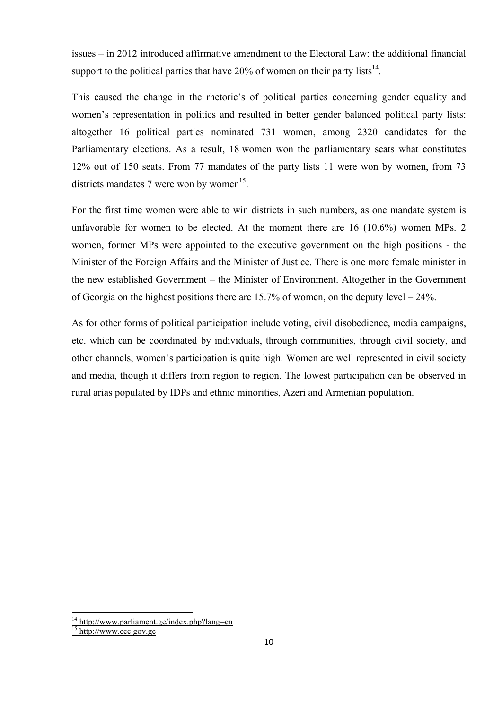issues – in 2012 introduced affirmative amendment to the Electoral Law: the additional financial support to the political parties that have  $20\%$  of women on their party lists<sup>14</sup>.

This caused the change in the rhetoric's of political parties concerning gender equality and women's representation in politics and resulted in better gender balanced political party lists: altogether 16 political parties nominated 731 women, among 2320 candidates for the Parliamentary elections. As a result, 18 women won the parliamentary seats what constitutes 12% out of 150 seats. From 77 mandates of the party lists 11 were won by women, from 73 districts mandates 7 were won by women<sup>15</sup>.

For the first time women were able to win districts in such numbers, as one mandate system is unfavorable for women to be elected. At the moment there are 16 (10.6%) women MPs. 2 women, former MPs were appointed to the executive government on the high positions - the Minister of the Foreign Affairs and the Minister of Justice. There is one more female minister in the new established Government – the Minister of Environment. Altogether in the Government of Georgia on the highest positions there are 15.7% of women, on the deputy level – 24%.

As for other forms of political participation include voting, civil disobedience, media campaigns, etc. which can be coordinated by individuals, through communities, through civil society, and other channels, women's participation is quite high. Women are well represented in civil society and media, though it differs from region to region. The lowest participation can be observed in rural arias populated by IDPs and ethnic minorities, Azeri and Armenian population.

 $\frac{14 \text{ http://www.parliament.get/index.php?lang=en}}{$ 

<sup>&</sup>lt;sup>15</sup> http://www.cec.gov.ge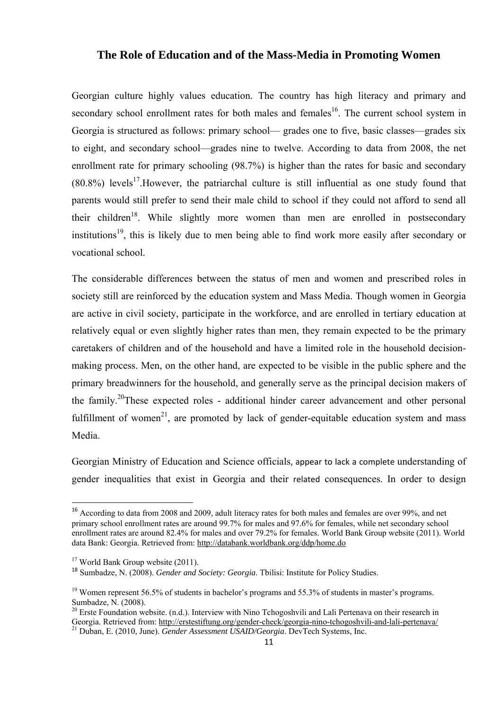#### **The Role of Education and of the Mass-Media in Promoting Women**

Georgian culture highly values education. The country has high literacy and primary and secondary school enrollment rates for both males and females<sup>16</sup>. The current school system in Georgia is structured as follows: primary school— grades one to five, basic classes—grades six to eight, and secondary school—grades nine to twelve. According to data from 2008, the net enrollment rate for primary schooling (98.7%) is higher than the rates for basic and secondary  $(80.8\%)$  levels<sup>17</sup>. However, the patriarchal culture is still influential as one study found that parents would still prefer to send their male child to school if they could not afford to send all their children<sup>18</sup>. While slightly more women than men are enrolled in postsecondary institutions<sup>19</sup>, this is likely due to men being able to find work more easily after secondary or vocational school.

The considerable differences between the status of men and women and prescribed roles in society still are reinforced by the education system and Mass Media. Though women in Georgia are active in civil society, participate in the workforce, and are enrolled in tertiary education at relatively equal or even slightly higher rates than men, they remain expected to be the primary caretakers of children and of the household and have a limited role in the household decisionmaking process. Men, on the other hand, are expected to be visible in the public sphere and the primary breadwinners for the household, and generally serve as the principal decision makers of the family.20These expected roles - additional hinder career advancement and other personal fulfillment of women<sup>21</sup>, are promoted by lack of gender-equitable education system and mass Media.

Georgian Ministry of Education and Science officials, appear to lack a complete understanding of gender inequalities that exist in Georgia and their related consequences. In order to design

<sup>&</sup>lt;sup>16</sup> According to data from 2008 and 2009, adult literacy rates for both males and females are over 99%, and net primary school enrollment rates are around 99.7% for males and 97.6% for females, while net secondary school enrollment rates are around 82.4% for males and over 79.2% for females. World Bank Group website (2011). World data Bank: Georgia. Retrieved from: http://databank.worldbank.org/ddp/home.do

 $17$  World Bank Group website (2011).

<sup>18</sup> Sumbadze, N. (2008). *Gender and Society: Georgia*. Tbilisi: Institute for Policy Studies.

 $19$  Women represent 56.5% of students in bachelor's programs and 55.3% of students in master's programs. Sumbadze, N. (2008).

<sup>&</sup>lt;sup>20</sup> Erste Foundation website. (n.d.). Interview with Nino Tchogoshvili and Lali Pertenava on their research in Georgia. Retrieved from: http://erstestiftung.org/gender-check/georgia-nino-tchogoshvili-and-lali-pertenava/ 21 Duban, E. (2010, June). *Gender Assessment USAID/Georgia*. DevTech Systems, Inc.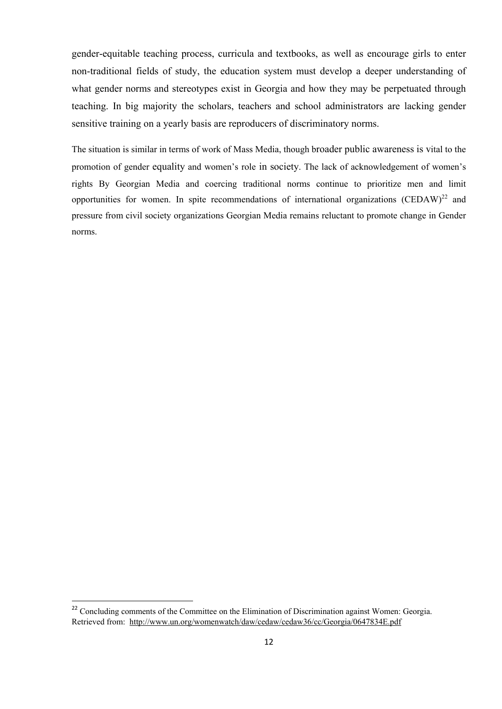gender-equitable teaching process, curricula and textbooks, as well as encourage girls to enter non-traditional fields of study, the education system must develop a deeper understanding of what gender norms and stereotypes exist in Georgia and how they may be perpetuated through teaching. In big majority the scholars, teachers and school administrators are lacking gender sensitive training on a yearly basis are reproducers of discriminatory norms.

The situation is similar in terms of work of Mass Media, though broader public awareness is vital to the promotion of gender equality and women's role in society. The lack of acknowledgement of women's rights By Georgian Media and coercing traditional norms continue to prioritize men and limit opportunities for women. In spite recommendations of international organizations  $(CEDAW)^{22}$  and pressure from civil society organizations Georgian Media remains reluctant to promote change in Gender norms.

<sup>&</sup>lt;sup>22</sup> Concluding comments of the Committee on the Elimination of Discrimination against Women: Georgia. Retrieved from: http://www.un.org/womenwatch/daw/cedaw/cedaw36/cc/Georgia/0647834E.pdf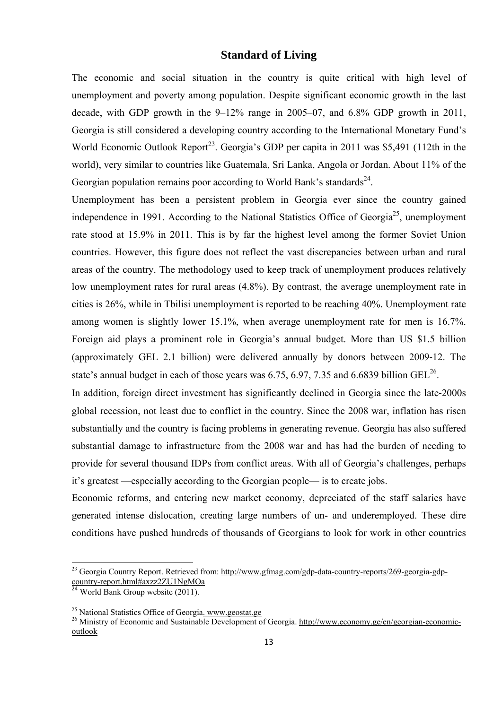#### **Standard of Living**

The economic and social situation in the country is quite critical with high level of unemployment and poverty among population. Despite significant economic growth in the last decade, with GDP growth in the 9–12% range in 2005–07, and 6.8% GDP growth in 2011, Georgia is still considered a developing country according to the International Monetary Fund's World Economic Outlook Report<sup>23</sup>. Georgia's GDP per capita in 2011 was \$5,491 (112th in the world), very similar to countries like Guatemala, Sri Lanka, Angola or Jordan. About 11% of the Georgian population remains poor according to World Bank's standards $^{24}$ .

Unemployment has been a persistent problem in Georgia ever since the country gained independence in 1991. According to the National Statistics Office of Georgia<sup>25</sup>, unemployment rate stood at 15.9% in 2011. This is by far the highest level among the former Soviet Union countries. However, this figure does not reflect the vast discrepancies between urban and rural areas of the country. The methodology used to keep track of unemployment produces relatively low unemployment rates for rural areas (4.8%). By contrast, the average unemployment rate in cities is 26%, while in Tbilisi unemployment is reported to be reaching 40%. Unemployment rate among women is slightly lower 15.1%, when average unemployment rate for men is 16.7%. Foreign aid plays a prominent role in Georgia's annual budget. More than US \$1.5 billion (approximately GEL 2.1 billion) were delivered annually by donors between 2009‐12. The state's annual budget in each of those years was 6.75, 6.97, 7.35 and 6.6839 billion  $GEL^{26}$ .

In addition, foreign direct investment has significantly declined in Georgia since the late-2000s global recession, not least due to conflict in the country. Since the 2008 war, inflation has risen substantially and the country is facing problems in generating revenue. Georgia has also suffered substantial damage to infrastructure from the 2008 war and has had the burden of needing to provide for several thousand IDPs from conflict areas. With all of Georgia's challenges, perhaps it's greatest —especially according to the Georgian people— is to create jobs.

Economic reforms, and entering new market economy, depreciated of the staff salaries have generated intense dislocation, creating large numbers of un- and underemployed. These dire conditions have pushed hundreds of thousands of Georgians to look for work in other countries

<sup>&</sup>lt;sup>23</sup> Georgia Country Report. Retrieved from: http://www.gfmag.com/gdp-data-country-reports/269-georgia-gdpcountry-report.html#axzz2ZU1NgMOa

<sup>&</sup>lt;sup>24</sup> World Bank Group website (2011).

<sup>25</sup> National Statistics Office of Georgia. www.geostat.ge

<sup>&</sup>lt;sup>26</sup> Ministry of Economic and Sustainable Development of Georgia. http://www.economy.ge/en/georgian-economicoutlook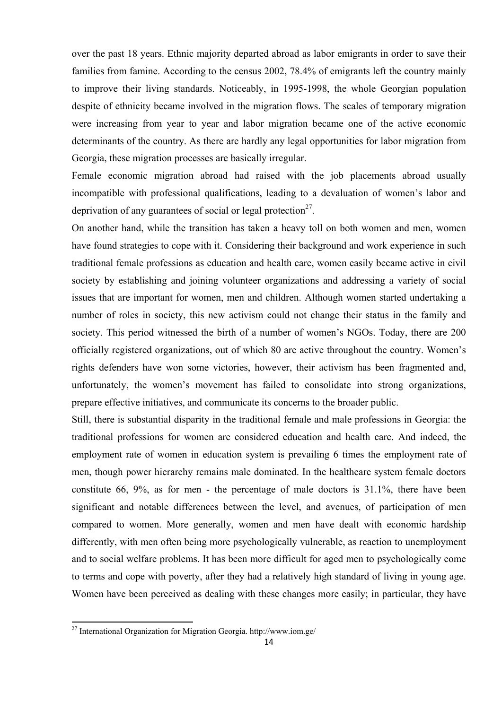over the past 18 years. Ethnic majority departed abroad as labor emigrants in order to save their families from famine. According to the census 2002, 78.4% of emigrants left the country mainly to improve their living standards. Noticeably, in 1995-1998, the whole Georgian population despite of ethnicity became involved in the migration flows. The scales of temporary migration were increasing from year to year and labor migration became one of the active economic determinants of the country. As there are hardly any legal opportunities for labor migration from Georgia, these migration processes are basically irregular.

Female economic migration abroad had raised with the job placements abroad usually incompatible with professional qualifications, leading to a devaluation of women's labor and deprivation of any guarantees of social or legal protection $2^7$ .

On another hand, while the transition has taken a heavy toll on both women and men, women have found strategies to cope with it. Considering their background and work experience in such traditional female professions as education and health care, women easily became active in civil society by establishing and joining volunteer organizations and addressing a variety of social issues that are important for women, men and children. Although women started undertaking a number of roles in society, this new activism could not change their status in the family and society. This period witnessed the birth of a number of women's NGOs. Today, there are 200 officially registered organizations, out of which 80 are active throughout the country. Women's rights defenders have won some victories, however, their activism has been fragmented and, unfortunately, the women's movement has failed to consolidate into strong organizations, prepare effective initiatives, and communicate its concerns to the broader public.

Still, there is substantial disparity in the traditional female and male professions in Georgia: the traditional professions for women are considered education and health care. And indeed, the employment rate of women in education system is prevailing 6 times the employment rate of men, though power hierarchy remains male dominated. In the healthcare system female doctors constitute 66, 9%, as for men - the percentage of male doctors is 31.1%, there have been significant and notable differences between the level, and avenues, of participation of men compared to women. More generally, women and men have dealt with economic hardship differently, with men often being more psychologically vulnerable, as reaction to unemployment and to social welfare problems. It has been more difficult for aged men to psychologically come to terms and cope with poverty, after they had a relatively high standard of living in young age. Women have been perceived as dealing with these changes more easily; in particular, they have

 $27$  International Organization for Migration Georgia. http://www.iom.ge/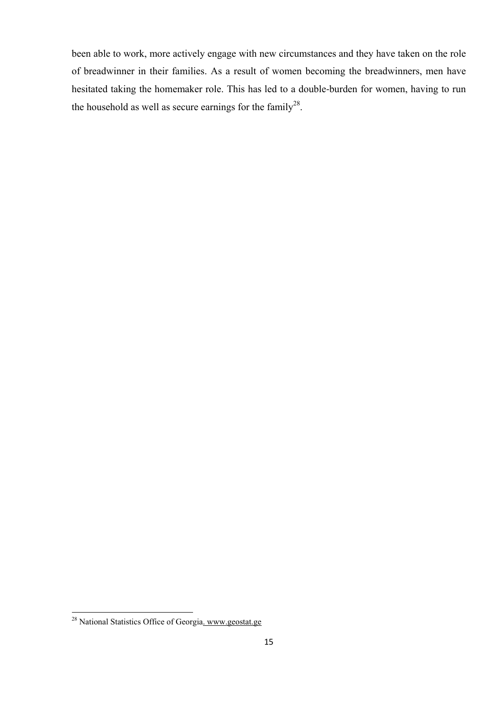been able to work, more actively engage with new circumstances and they have taken on the role of breadwinner in their families. As a result of women becoming the breadwinners, men have hesitated taking the homemaker role. This has led to a double-burden for women, having to run the household as well as secure earnings for the family<sup>28</sup>.

 <sup>28</sup> National Statistics Office of Georgia. www.geostat.ge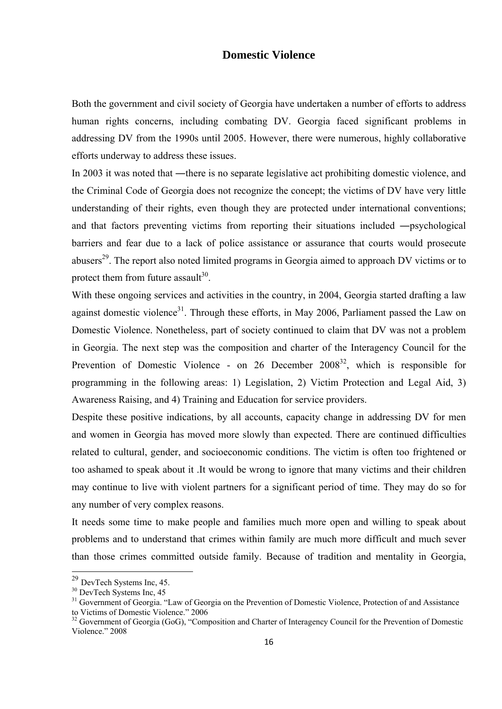#### **Domestic Violence**

Both the government and civil society of Georgia have undertaken a number of efforts to address human rights concerns, including combating DV. Georgia faced significant problems in addressing DV from the 1990s until 2005. However, there were numerous, highly collaborative efforts underway to address these issues.

In 2003 it was noted that —there is no separate legislative act prohibiting domestic violence, and the Criminal Code of Georgia does not recognize the concept; the victims of DV have very little understanding of their rights, even though they are protected under international conventions; and that factors preventing victims from reporting their situations included ―psychological barriers and fear due to a lack of police assistance or assurance that courts would prosecute abusers<sup>29</sup>. The report also noted limited programs in Georgia aimed to approach DV victims or to protect them from future assault<sup>30</sup>.

With these ongoing services and activities in the country, in 2004, Georgia started drafting a law against domestic violence<sup>31</sup>. Through these efforts, in May 2006, Parliament passed the Law on Domestic Violence. Nonetheless, part of society continued to claim that DV was not a problem in Georgia. The next step was the composition and charter of the Interagency Council for the Prevention of Domestic Violence - on 26 December 2008<sup>32</sup>, which is responsible for programming in the following areas: 1) Legislation, 2) Victim Protection and Legal Aid, 3) Awareness Raising, and 4) Training and Education for service providers.

Despite these positive indications, by all accounts, capacity change in addressing DV for men and women in Georgia has moved more slowly than expected. There are continued difficulties related to cultural, gender, and socioeconomic conditions. The victim is often too frightened or too ashamed to speak about it .It would be wrong to ignore that many victims and their children may continue to live with violent partners for a significant period of time. They may do so for any number of very complex reasons.

It needs some time to make people and families much more open and willing to speak about problems and to understand that crimes within family are much more difficult and much sever than those crimes committed outside family. Because of tradition and mentality in Georgia,

 $^{29}$  DevTech Systems Inc, 45.<br><sup>30</sup> DevTech Systems Inc, 45

<sup>&</sup>lt;sup>30</sup> DevTech Systems Inc, 45<br><sup>31</sup> Government of Georgia. "Law of Georgia on the Prevention of Domestic Violence, Protection of and Assistance to Victims of Domestic Violence." 2006

<sup>&</sup>lt;sup>32</sup> Government of Georgia (GoG), "Composition and Charter of Interagency Council for the Prevention of Domestic Violence." 2008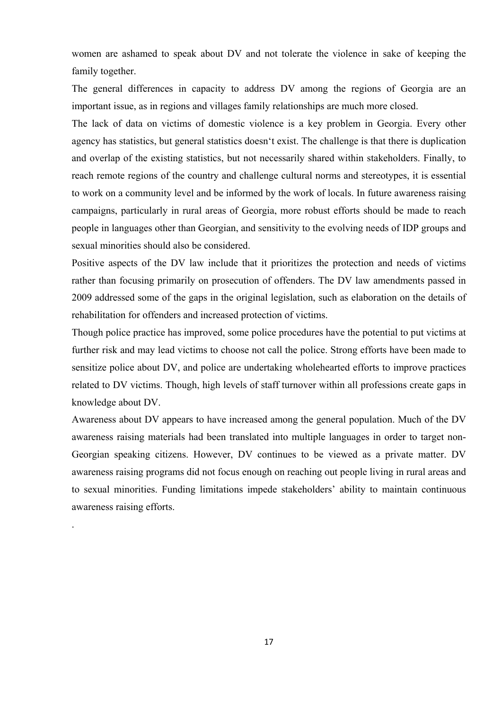women are ashamed to speak about DV and not tolerate the violence in sake of keeping the family together.

The general differences in capacity to address DV among the regions of Georgia are an important issue, as in regions and villages family relationships are much more closed.

The lack of data on victims of domestic violence is a key problem in Georgia. Every other agency has statistics, but general statistics doesn't exist. The challenge is that there is duplication and overlap of the existing statistics, but not necessarily shared within stakeholders. Finally, to reach remote regions of the country and challenge cultural norms and stereotypes, it is essential to work on a community level and be informed by the work of locals. In future awareness raising campaigns, particularly in rural areas of Georgia, more robust efforts should be made to reach people in languages other than Georgian, and sensitivity to the evolving needs of IDP groups and sexual minorities should also be considered.

Positive aspects of the DV law include that it prioritizes the protection and needs of victims rather than focusing primarily on prosecution of offenders. The DV law amendments passed in 2009 addressed some of the gaps in the original legislation, such as elaboration on the details of rehabilitation for offenders and increased protection of victims.

Though police practice has improved, some police procedures have the potential to put victims at further risk and may lead victims to choose not call the police. Strong efforts have been made to sensitize police about DV, and police are undertaking wholehearted efforts to improve practices related to DV victims. Though, high levels of staff turnover within all professions create gaps in knowledge about DV.

Awareness about DV appears to have increased among the general population. Much of the DV awareness raising materials had been translated into multiple languages in order to target non-Georgian speaking citizens. However, DV continues to be viewed as a private matter. DV awareness raising programs did not focus enough on reaching out people living in rural areas and to sexual minorities. Funding limitations impede stakeholders' ability to maintain continuous awareness raising efforts.

.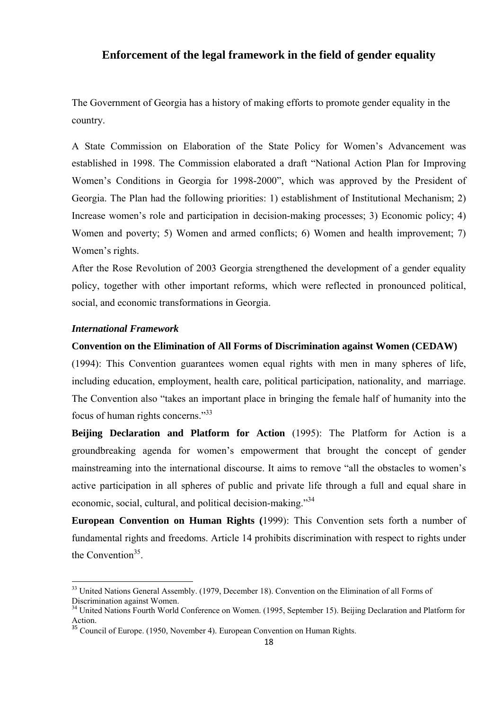## **Enforcement of the legal framework in the field of gender equality**

The Government of Georgia has a history of making efforts to promote gender equality in the country.

A State Commission on Elaboration of the State Policy for Women's Advancement was established in 1998. The Commission elaborated a draft "National Action Plan for Improving Women's Conditions in Georgia for 1998-2000", which was approved by the President of Georgia. The Plan had the following priorities: 1) establishment of Institutional Mechanism; 2) Increase women's role and participation in decision-making processes; 3) Economic policy; 4) Women and poverty; 5) Women and armed conflicts; 6) Women and health improvement; 7) Women's rights.

After the Rose Revolution of 2003 Georgia strengthened the development of a gender equality policy, together with other important reforms, which were reflected in pronounced political, social, and economic transformations in Georgia.

#### *International Framework*

#### **Convention on the Elimination of All Forms of Discrimination against Women (CEDAW)**

(1994): This Convention guarantees women equal rights with men in many spheres of life, including education, employment, health care, political participation, nationality, and marriage. The Convention also "takes an important place in bringing the female half of humanity into the focus of human rights concerns."33

**Beijing Declaration and Platform for Action** (1995): The Platform for Action is a groundbreaking agenda for women's empowerment that brought the concept of gender mainstreaming into the international discourse. It aims to remove "all the obstacles to women's active participation in all spheres of public and private life through a full and equal share in economic, social, cultural, and political decision-making."<sup>34</sup>

**European Convention on Human Rights (**1999): This Convention sets forth a number of fundamental rights and freedoms. Article 14 prohibits discrimination with respect to rights under the Convention<sup>35</sup>.

<sup>&</sup>lt;sup>33</sup> United Nations General Assembly. (1979, December 18). Convention on the Elimination of all Forms of Discrimination against Women.

<sup>&</sup>lt;sup>34</sup> United Nations Fourth World Conference on Women. (1995, September 15). Beijing Declaration and Platform for Action.

<sup>&</sup>lt;sup>35</sup> Council of Europe. (1950, November 4). European Convention on Human Rights.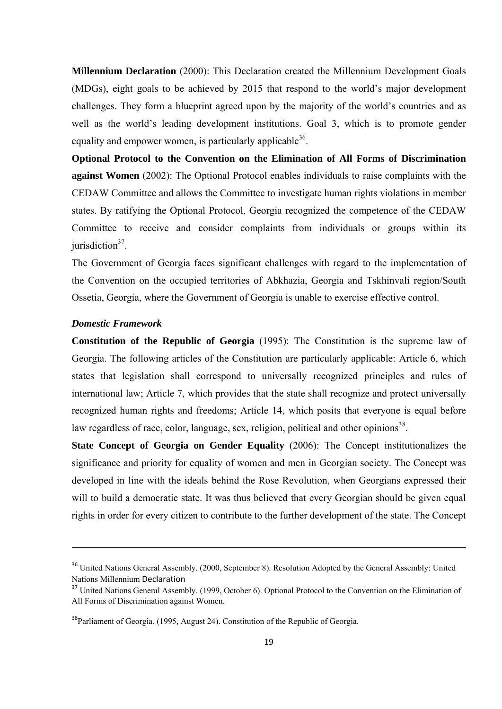**Millennium Declaration** (2000): This Declaration created the Millennium Development Goals (MDGs), eight goals to be achieved by 2015 that respond to the world's major development challenges. They form a blueprint agreed upon by the majority of the world's countries and as well as the world's leading development institutions. Goal 3, which is to promote gender equality and empower women, is particularly applicable  $36$ .

**Optional Protocol to the Convention on the Elimination of All Forms of Discrimination against Women** (2002): The Optional Protocol enables individuals to raise complaints with the CEDAW Committee and allows the Committee to investigate human rights violations in member states. By ratifying the Optional Protocol, Georgia recognized the competence of the CEDAW Committee to receive and consider complaints from individuals or groups within its jurisdiction $37$ .

The Government of Georgia faces significant challenges with regard to the implementation of the Convention on the occupied territories of Abkhazia, Georgia and Tskhinvali region/South Ossetia, Georgia, where the Government of Georgia is unable to exercise effective control.

#### *Domestic Framework*

**Constitution of the Republic of Georgia** (1995): The Constitution is the supreme law of Georgia. The following articles of the Constitution are particularly applicable: Article 6, which states that legislation shall correspond to universally recognized principles and rules of international law; Article 7, which provides that the state shall recognize and protect universally recognized human rights and freedoms; Article 14, which posits that everyone is equal before law regardless of race, color, language, sex, religion, political and other opinions<sup>38</sup>.

**State Concept of Georgia on Gender Equality** (2006): The Concept institutionalizes the significance and priority for equality of women and men in Georgian society. The Concept was developed in line with the ideals behind the Rose Revolution, when Georgians expressed their will to build a democratic state. It was thus believed that every Georgian should be given equal rights in order for every citizen to contribute to the further development of the state. The Concept

<u> Andrewski politika (za obrazu pod predsjednika u predsjednika u predsjednika u predsjednika (za obrazu pod p</u>

<sup>&</sup>lt;sup>36</sup> United Nations General Assembly. (2000, September 8). Resolution Adopted by the General Assembly: United Nations Millennium Declaration

<sup>&</sup>lt;sup>37</sup> United Nations General Assembly. (1999, October 6). Optional Protocol to the Convention on the Elimination of All Forms of Discrimination against Women.

<sup>&</sup>lt;sup>38</sup>Parliament of Georgia. (1995, August 24). Constitution of the Republic of Georgia.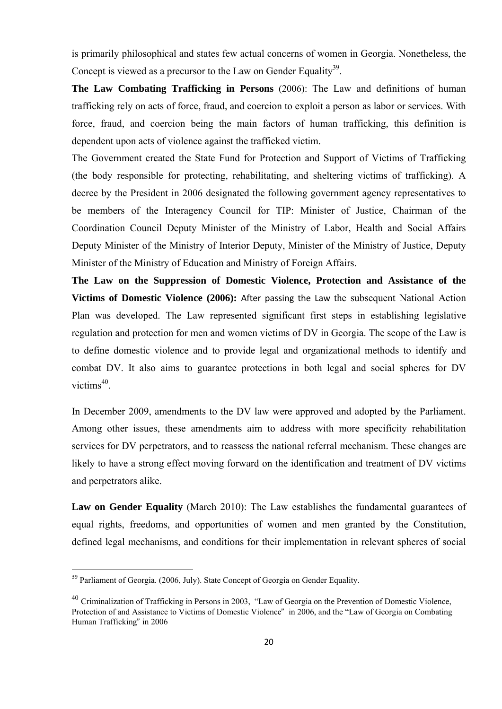is primarily philosophical and states few actual concerns of women in Georgia. Nonetheless, the Concept is viewed as a precursor to the Law on Gender Equality<sup>39</sup>.

**The Law Combating Trafficking in Persons** (2006): The Law and definitions of human trafficking rely on acts of force, fraud, and coercion to exploit a person as labor or services. With force, fraud, and coercion being the main factors of human trafficking, this definition is dependent upon acts of violence against the trafficked victim.

The Government created the State Fund for Protection and Support of Victims of Trafficking (the body responsible for protecting, rehabilitating, and sheltering victims of trafficking). A decree by the President in 2006 designated the following government agency representatives to be members of the Interagency Council for TIP: Minister of Justice, Chairman of the Coordination Council Deputy Minister of the Ministry of Labor, Health and Social Affairs Deputy Minister of the Ministry of Interior Deputy, Minister of the Ministry of Justice, Deputy Minister of the Ministry of Education and Ministry of Foreign Affairs.

**The Law on the Suppression of Domestic Violence, Protection and Assistance of the Victims of Domestic Violence (2006):** After passing the Law the subsequent National Action Plan was developed. The Law represented significant first steps in establishing legislative regulation and protection for men and women victims of DV in Georgia. The scope of the Law is to define domestic violence and to provide legal and organizational methods to identify and combat DV. It also aims to guarantee protections in both legal and social spheres for DV victims<sup>40</sup>.

In December 2009, amendments to the DV law were approved and adopted by the Parliament. Among other issues, these amendments aim to address with more specificity rehabilitation services for DV perpetrators, and to reassess the national referral mechanism. These changes are likely to have a strong effect moving forward on the identification and treatment of DV victims and perpetrators alike.

Law on Gender Equality (March 2010): The Law establishes the fundamental guarantees of equal rights, freedoms, and opportunities of women and men granted by the Constitution, defined legal mechanisms, and conditions for their implementation in relevant spheres of social

<sup>&</sup>lt;sup>39</sup> Parliament of Georgia. (2006, July). State Concept of Georgia on Gender Equality.

 $^{40}$  Criminalization of Trafficking in Persons in 2003, "Law of Georgia on the Prevention of Domestic Violence, Protection of and Assistance to Victims of Domestic Violence" in 2006, and the "Law of Georgia on Combating Human Trafficking" in 2006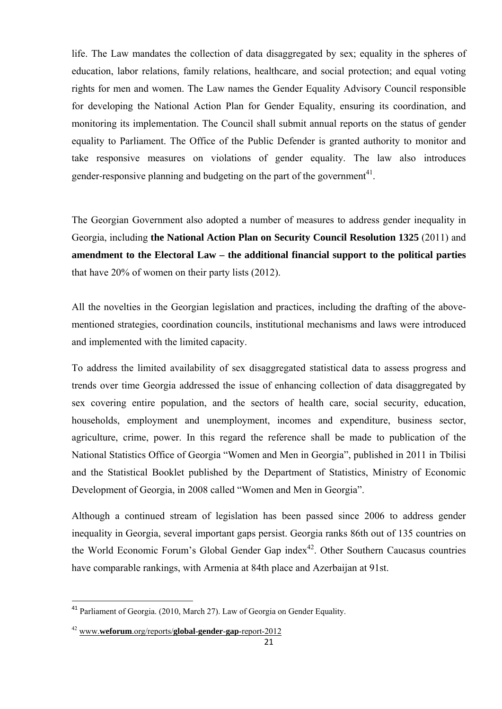life. The Law mandates the collection of data disaggregated by sex; equality in the spheres of education, labor relations, family relations, healthcare, and social protection; and equal voting rights for men and women. The Law names the Gender Equality Advisory Council responsible for developing the National Action Plan for Gender Equality, ensuring its coordination, and monitoring its implementation. The Council shall submit annual reports on the status of gender equality to Parliament. The Office of the Public Defender is granted authority to monitor and take responsive measures on violations of gender equality. The law also introduces gender-responsive planning and budgeting on the part of the government<sup>41</sup>.

The Georgian Government also adopted a number of measures to address gender inequality in Georgia, including **the National Action Plan on Security Council Resolution 1325** (2011) and **amendment to the Electoral Law – the additional financial support to the political parties** that have 20% of women on their party lists (2012).

All the novelties in the Georgian legislation and practices, including the drafting of the abovementioned strategies, coordination councils, institutional mechanisms and laws were introduced and implemented with the limited capacity.

To address the limited availability of sex disaggregated statistical data to assess progress and trends over time Georgia addressed the issue of enhancing collection of data disaggregated by sex covering entire population, and the sectors of health care, social security, education, households, employment and unemployment, incomes and expenditure, business sector, agriculture, crime, power. In this regard the reference shall be made to publication of the National Statistics Office of Georgia "Women and Men in Georgia", published in 2011 in Tbilisi and the Statistical Booklet published by the Department of Statistics, Ministry of Economic Development of Georgia, in 2008 called "Women and Men in Georgia".

Although a continued stream of legislation has been passed since 2006 to address gender inequality in Georgia, several important gaps persist. Georgia ranks 86th out of 135 countries on the World Economic Forum's Global Gender Gap index<sup>42</sup>. Other Southern Caucasus countries have comparable rankings, with Armenia at 84th place and Azerbaijan at 91st.

<sup>&</sup>lt;sup>41</sup> Parliament of Georgia. (2010, March 27). Law of Georgia on Gender Equality.

<sup>42</sup> www.**weforum**.org/reports/**global**-**gender**-**gap**-report-2012